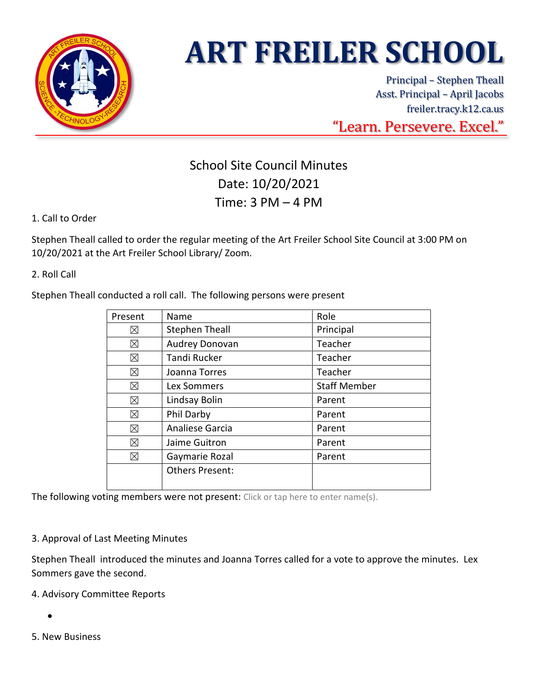

# **ART FREILER SCHOOL**

Principal – Stephen Theall Asst. Principal – April Jacobs freiler.tracy.k12.ca.us "Learn. Persevere. Excel."

## School Site Council Minutes Date: 10/20/2021 Time: 3 PM – 4 PM

### 1. Call to Order

Stephen Theall called to order the regular meeting of the Art Freiler School Site Council at 3:00 PM on 10/20/2021 at the Art Freiler School Library/ Zoom.

2. Roll Call

Stephen Theall conducted a roll call. The following persons were present

| Present | Name                   | Role                |
|---------|------------------------|---------------------|
| ⊠       | <b>Stephen Theall</b>  | Principal           |
| ⊠       | Audrey Donovan         | Teacher             |
| ⊠       | <b>Tandi Rucker</b>    | Teacher             |
| ⊠       | Joanna Torres          | Teacher             |
| ⊠       | Lex Sommers            | <b>Staff Member</b> |
| ⊠       | Lindsay Bolin          | Parent              |
| ⊠       | Phil Darby             | Parent              |
| ⊠       | Analiese Garcia        | Parent              |
| ⊠       | Jaime Guitron          | Parent              |
| ⊠       | Gaymarie Rozal         | Parent              |
|         | <b>Others Present:</b> |                     |
|         |                        |                     |

The following voting members were not present: Click or tap here to enter name(s).

#### 3. Approval of Last Meeting Minutes

Stephen Theall introduced the minutes and Joanna Torres called for a vote to approve the minutes. Lex Sommers gave the second.

#### 4. Advisory Committee Reports

•

5. New Business